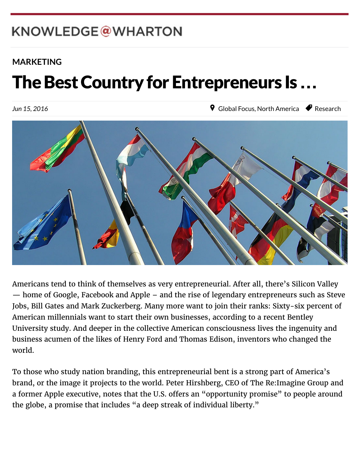# KNOWLEDGE@WHARTON

 $W_{\rm eff}$  which is the Pennsylvanian of  $P_{\rm eff}$ 

### **[MARKETING](http://knowledge.wharton.upenn.edu/topic/marketing/)**

### 繁體中文 The Best Country for Entrepreneurs Is ...

Jun 15, 2016

**9** [Global Focus,](http://knowledge.wharton.upenn.edu/region/global-focus/) [North America](http://knowledge.wharton.upenn.edu/region/north-america/) *P* [Research](http://knowledge.wharton.upenn.edu/category/research/)



Americans tend to think of themselves as very entrepreneurial. After all, there's Silicon Valley — home of Google, Facebook and Apple – and the rise of legendary entrepreneurs such as Steve Jobs, Bill Gates and Mark Zuckerberg. Many more want to join their ranks: Sixty-six percent of American millennials want to start their own businesses, according to a recent Bentley University study. And deeper in the collective American consciousness lives the ingenuity and business acumen of the likes of Henry Ford and Thomas Edison, inventors who changed the world.

To those who study nation branding, this entrepreneurial bent is a strong part of America's brand, or the image it projects to the world. Peter Hirshberg, CEO of The Re:Imagine Group and a former Apple executive, notes that the U.S. offers an "opportunity promise" to people around the globe, a promise that includes "a deep streak of individual liberty."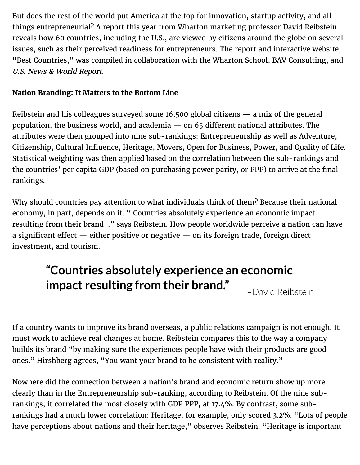But does the rest of the world put America at the top for innovation, startup activity, and all things entrepreneurial? A report this year from Wharton marketing professor David Reibstein reveals how 60 countries, including the U.S., are viewed by citizens around the globe on several issues, such as their perceived readiness for entrepreneurs. The report and interactive website, "Best Countries," was compiled in collaboration with the Wharton School, BAV Consulting, and U.S. News & World Report.

### **Nation Branding: It Matters to the Bottom Line**

Reibstein and his colleagues surveyed some 16,500 global citizens — a mix of the general population, the business world, and academia  $-$  on 65 different national attributes. The attributes were then grouped into nine sub-rankings: Entrepreneurship as well as Adventure, Citizenship, Cultural Influence, Heritage, Movers, Open for Business, Power, and Quality of Life. Statistical weighting was then applied based on the correlation between the sub-rankings and the countries' per capita GDP (based on purchasing power parity, or PPP) to arrive at the final rankings.

Why should countries pay attention to what individuals think of them? Because their national economy, in part, depends on it. " Countries absolutely experience an economic impact resulting from their brand [," says Reibstein. How people worldwide perceive a nation c](https://twitter.com/intent/tweet?original_referer=http%3A%2F%2Fknowledge.wharton.upenn.edu%2Farticle%2Fentrepreneurial-country-world%2F&url=http%3A%2F%2Fknlg.net%2F1PtSe9g&source=tweetbutton&text=Wharton%E2%80%99s%20David%20Reibstein%3A%20Countries%20experience%20an%20economic%20impact%20resulting%20from%20their%20brand%20%40whartonknows)an have a significant effect  $-$  either positive or negative  $-$  on its foreign trade, foreign direct investment, and tourism.

# **"Countries absolutely experience an economic impact resulting from their brand."**

–David Reibstein

If a country wants to improve its brand overseas, a public relations campaign is not enough. It must work to achieve real changes at home. Reibstein compares this to the way a company builds its brand "by making sure the experiences people have with their products are good ones." Hirshberg agrees, "You want your brand to be consistent with reality."

Nowhere did the connection between a nation's brand and economic return show up more clearly than in the Entrepreneurship sub-ranking, according to Reibstein. Of the nine subrankings, it correlated the most closely with GDP PPP, at 17.4%. By contrast, some subrankings had a much lower correlation: Heritage, for example, only scored 3.2%. "Lots of people have perceptions about nations and their heritage," observes Reibstein. "Heritage is important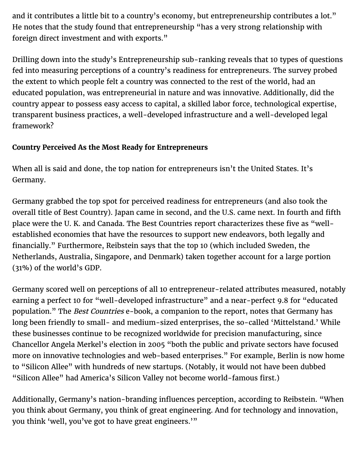and it contributes a little bit to a country's economy, but entrepreneurship contributes a lot." He notes that the study found that entrepreneurship "has a very strong relationship with foreign direct investment and with exports."

Drilling down into the study's Entrepreneurship sub-ranking reveals that 10 types of questions fed into measuring perceptions of a country's readiness for entrepreneurs. The survey probed the extent to which people felt a country was connected to the rest of the world, had an educated population, was entrepreneurial in nature and was innovative. Additionally, did the country appear to possess easy access to capital, a skilled labor force, technological expertise, transparent business practices, a well-developed infrastructure and a well-developed legal framework?

### **Country Perceived As the Most Ready for Entrepreneurs**

When all is said and done, the top nation for entrepreneurs isn't the United States. It's Germany.

Germany grabbed the top spot for perceived readiness for entrepreneurs (and also took the overall title of Best Country). Japan came in second, and the U.S. came next. In fourth and fifth place were the U. K. and Canada. The Best Countries report characterizes these five as "wellestablished economies that have the resources to support new endeavors, both legally and financially." Furthermore, Reibstein says that the top 10 (which included Sweden, the Netherlands, Australia, Singapore, and Denmark) taken together account for a large portion (31%) of the world's GDP.

Germany scored well on perceptions of all 10 entrepreneur-related attributes measured, notably earning a perfect 10 for "well-developed infrastructure" and a near-perfect 9.8 for "educated population." The Best Countries e-book, a companion to the report, notes that Germany has long been friendly to small- and medium-sized enterprises, the so-called 'Mittelstand.' While these businesses continue to be recognized worldwide for precision manufacturing, since Chancellor Angela Merkel's election in 2005 "both the public and private sectors have focused more on innovative technologies and web-based enterprises." For example, Berlin is now home to "Silicon Allee" with hundreds of new startups. (Notably, it would not have been dubbed "Silicon Allee" had America's Silicon Valley not become world-famous first.)

Additionally, Germany's nation-branding influences perception, according to Reibstein. "When you think about Germany, you think of great engineering. And for technology and innovation, you think 'well, you've got to have great engineers.'"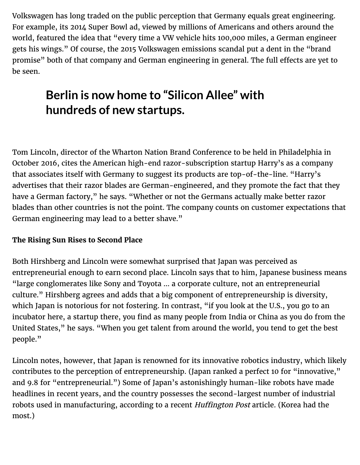Volkswagen has long traded on the public perception that Germany equals great engineering. For example, its 2014 Super Bowl ad, viewed by millions of Americans and others around the world, featured the idea that "every time a VW vehicle hits 100,000 miles, a German engineer gets his wings." Of course, the 2015 Volkswagen emissions scandal put a dent in the "brand promise" both of that company and German engineering in general. The full effects are yet to be seen.

## **Berlin is now home to "Silicon Allee" with hundreds of new startups.**

Tom Lincoln, director of the Wharton Nation Brand Conference to be held in Philadelphia in October 2016, cites the American high-end razor-subscription startup Harry's as a company that associates itself with Germany to suggest its products are top-of-the-line. "Harry's advertises that their razor blades are German-engineered, and they promote the fact that they have a German factory," he says. "Whether or not the Germans actually make better razor blades than other countries is not the point. The company counts on customer expectations that German engineering may lead to a better shave."

#### **The Rising Sun Rises to Second Place**

Both Hirshberg and Lincoln were somewhat surprised that Japan was perceived as entrepreneurial enough to earn second place. Lincoln says that to him, Japanese business means "large conglomerates like Sony and Toyota … a corporate culture, not an entrepreneurial culture." Hirshberg agrees and adds that a big component of entrepreneurship is diversity, which Japan is notorious for not fostering. In contrast, "if you look at the U.S., you go to an incubator here, a startup there, you find as many people from India or China as you do from the United States," he says. "When you get talent from around the world, you tend to get the best people."

Lincoln notes, however, that Japan is renowned for its innovative robotics industry, which likely contributes to the perception of entrepreneurship. (Japan ranked a perfect 10 for "innovative," and 9.8 for "entrepreneurial.") Some of Japan's astonishingly human-like robots have made headlines in recent years, and the country possesses the second-largest number of industrial robots used in manufacturing, according to a recent Huffington Post article. (Korea had the most.)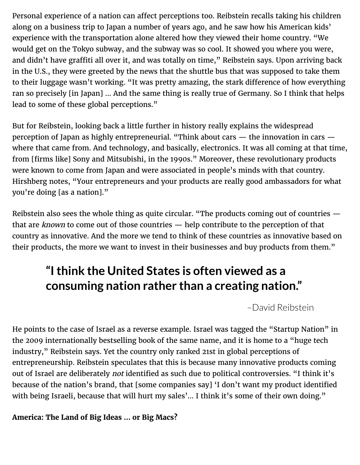Personal experience of a nation can affect perceptions too. Reibstein recalls taking his children along on a business trip to Japan a number of years ago, and he saw how his American kids' experience with the transportation alone altered how they viewed their home country. "We would get on the Tokyo subway, and the subway was so cool. It showed you where you were, and didn't have graffiti all over it, and was totally on time," Reibstein says. Upon arriving back in the U.S., they were greeted by the news that the shuttle bus that was supposed to take them to their luggage wasn't working. "It was pretty amazing, the stark difference of how everything ran so precisely [in Japan] … And the same thing is really true of Germany. So I think that helps lead to some of these global perceptions."

But for Reibstein, looking back a little further in history really explains the widespread perception of Japan as highly entrepreneurial. "Think about cars — the innovation in cars where that came from. And technology, and basically, electronics. It was all coming at that time, from [firms like] Sony and Mitsubishi, in the 1990s." Moreover, these revolutionary products were known to come from Japan and were associated in people's minds with that country. Hirshberg notes, "Your entrepreneurs and your products are really good ambassadors for what you're doing [as a nation]."

Reibstein also sees the whole thing as quite circular. "The products coming out of countries that are known to come out of those countries — help contribute to the perception of that country as innovative. And the more we tend to think of these countries as innovative based on their products, the more we want to invest in their businesses and buy products from them."

### **"I think the United States is often viewed as a consuming nation rather than a creating nation."**

–David Reibstein

He points to the case of Israel as a reverse example. Israel was tagged the "Startup Nation" in the 2009 internationally bestselling book of the same name, and it is home to a "huge tech industry," Reibstein says. Yet the country only ranked 21st in global perceptions of entrepreneurship. Reibstein speculates that this is because many innovative products coming out of Israel are deliberately not identified as such due to political controversies. "I think it's because of the nation's brand, that [some companies say] 'I don't want my product identified with being Israeli, because that will hurt my sales'... I think it's some of their own doing."

**America: The Land of Big Ideas … or Big Macs?**